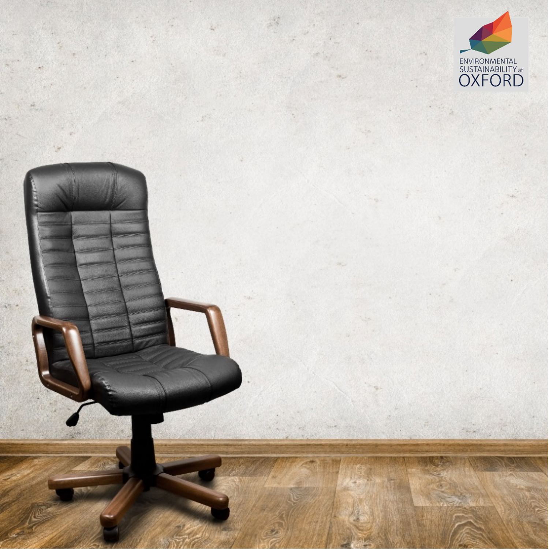